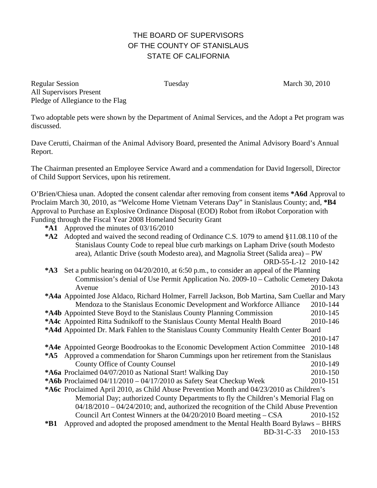## THE BOARD OF SUPERVISORS OF THE COUNTY OF STANISLAUS STATE OF CALIFORNIA

Regular Session Tuesday Tuesday March 30, 2010 All Supervisors Present Pledge of Allegiance to the Flag

Two adoptable pets were shown by the Department of Animal Services, and the Adopt a Pet program was discussed.

Dave Cerutti, Chairman of the Animal Advisory Board, presented the Animal Advisory Board's Annual Report.

The Chairman presented an Employee Service Award and a commendation for David Ingersoll, Director of Child Support Services, upon his retirement.

O'Brien/Chiesa unan. Adopted the consent calendar after removing from consent items **\*A6d** Approval to Proclaim March 30, 2010, as "Welcome Home Vietnam Veterans Day" in Stanislaus County; and, **\*B4** Approval to Purchase an Explosive Ordinance Disposal (EOD) Robot from iRobot Corporation with Funding through the Fiscal Year 2008 Homeland Security Grant

**\*A1** Approved the minutes of 03/16/2010

| $*A2$                                                                                                 | Adopted and waived the second reading of Ordinance C.S. 1079 to amend §11.08.110 of the   |          |
|-------------------------------------------------------------------------------------------------------|-------------------------------------------------------------------------------------------|----------|
|                                                                                                       | Stanislaus County Code to repeal blue curb markings on Lapham Drive (south Modesto        |          |
|                                                                                                       | area), Atlantic Drive (south Modesto area), and Magnolia Street (Salida area) – PW        |          |
|                                                                                                       | ORD-55-L-12 2010-142                                                                      |          |
| $*A3$                                                                                                 | Set a public hearing on 04/20/2010, at 6:50 p.m., to consider an appeal of the Planning   |          |
|                                                                                                       | Commission's denial of Use Permit Application No. 2009-10 - Catholic Cemetery Dakota      |          |
|                                                                                                       | Avenue                                                                                    | 2010-143 |
| <b>*A4a</b> Appointed Jose Aldaco, Richard Holmer, Farrell Jackson, Bob Martina, Sam Cuellar and Mary |                                                                                           |          |
|                                                                                                       | Mendoza to the Stanislaus Economic Development and Workforce Alliance                     | 2010-144 |
|                                                                                                       | *A4b Appointed Steve Boyd to the Stanislaus County Planning Commission                    | 2010-145 |
|                                                                                                       | *A4c Appointed Ritta Sudnikoff to the Stanislaus County Mental Health Board               | 2010-146 |
| *A4d Appointed Dr. Mark Fahlen to the Stanislaus County Community Health Center Board                 |                                                                                           |          |
|                                                                                                       |                                                                                           | 2010-147 |
|                                                                                                       | *A4e Appointed George Boodrookas to the Economic Development Action Committee             | 2010-148 |
|                                                                                                       | *A5 Approved a commendation for Sharon Cummings upon her retirement from the Stanislaus   |          |
|                                                                                                       | <b>County Office of County Counsel</b>                                                    | 2010-149 |
|                                                                                                       | *A6a Proclaimed 04/07/2010 as National Start! Walking Day                                 | 2010-150 |
|                                                                                                       | *A6b Proclaimed $04/11/2010 - 04/17/2010$ as Safety Seat Checkup Week                     | 2010-151 |
| *A6c Proclaimed April 2010, as Child Abuse Prevention Month and 04/23/2010 as Children's              |                                                                                           |          |
| Memorial Day; authorized County Departments to fly the Children's Memorial Flag on                    |                                                                                           |          |
|                                                                                                       | $04/18/2010 - 04/24/2010$ ; and, authorized the recognition of the Child Abuse Prevention |          |
|                                                                                                       | Council Art Contest Winners at the $04/20/2010$ Board meeting $-$ CSA                     | 2010-152 |
| $*B1$                                                                                                 | Approved and adopted the proposed amendment to the Mental Health Board Bylaws - BHRS      |          |
|                                                                                                       | BD-31-C-33                                                                                | 2010-153 |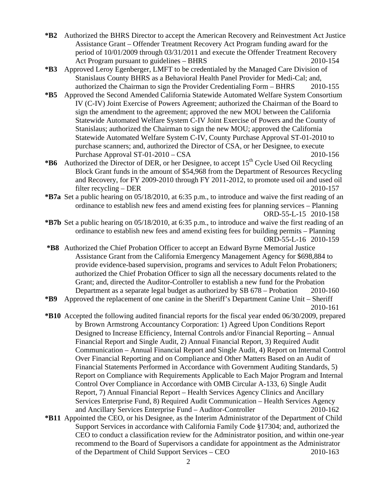- **\*B2** Authorized the BHRS Director to accept the American Recovery and Reinvestment Act Justice Assistance Grant – Offender Treatment Recovery Act Program funding award for the period of 10/01/2009 through 03/31/2011 and execute the Offender Treatment Recovery Act Program pursuant to guidelines – BHRS 2010-154
- **\*B3** Approved Leroy Egenberger, LMFT to be credentialed by the Managed Care Division of Stanislaus County BHRS as a Behavioral Health Panel Provider for Medi-Cal; and, authorized the Chairman to sign the Provider Credentialing Form – BHRS 2010-155
- **\*B5** Approved the Second Amended California Statewide Automated Welfare System Consortium IV (C-IV) Joint Exercise of Powers Agreement; authorized the Chairman of the Board to sign the amendment to the agreement; approved the new MOU between the California Statewide Automated Welfare System C-IV Joint Exercise of Powers and the County of Stanislaus; authorized the Chairman to sign the new MOU; approved the California Statewide Automated Welfare System C-IV, County Purchase Approval ST-01-2010 to purchase scanners; and, authorized the Director of CSA, or her Designee, to execute Purchase Approval ST-01-2010 – CSA 2010-156
- \*B6 Authorized the Director of DER, or her Designee, to accept 15<sup>th</sup> Cycle Used Oil Recycling Block Grant funds in the amount of \$54,968 from the Department of Resources Recycling and Recovery, for FY 2009-2010 through FY 2011-2012, to promote used oil and used oil filter recycling – DER 2010-157
- **\*B7a** Set a public hearing on 05/18/2010, at 6:35 p.m., to introduce and waive the first reading of an ordinance to establish new fees and amend existing fees for planning services – Planning ORD-55-L-15 2010-158
- **\*B7b** Set a public hearing on 05/18/2010, at 6:35 p.m., to introduce and waive the first reading of an ordinance to establish new fees and amend existing fees for building permits – Planning ORD-55-L-16 2010-159
- **\*B8** Authorized the Chief Probation Officer to accept an Edward Byrne Memorial Justice Assistance Grant from the California Emergency Management Agency for \$698,884 to provide evidence-based supervision, programs and services to Adult Felon Probationers; authorized the Chief Probation Officer to sign all the necessary documents related to the Grant; and, directed the Auditor-Controller to establish a new fund for the Probation Department as a separate legal budget as authorized by SB 678 – Probation 2010-160
- **\*B9** Approved the replacement of one canine in the Sheriff's Department Canine Unit Sheriff 2010-161
- **\*B10** Accepted the following audited financial reports for the fiscal year ended 06/30/2009, prepared by Brown Armstrong Accountancy Corporation: 1) Agreed Upon Conditions Report Designed to Increase Efficiency, Internal Controls and/or Financial Reporting – Annual Financial Report and Single Audit, 2) Annual Financial Report, 3) Required Audit Communication – Annual Financial Report and Single Audit, 4) Report on Internal Control Over Financial Reporting and on Compliance and Other Matters Based on an Audit of Financial Statements Performed in Accordance with Government Auditing Standards, 5) Report on Compliance with Requirements Applicable to Each Major Program and Internal Control Over Compliance in Accordance with OMB Circular A-133, 6) Single Audit Report, 7) Annual Financial Report – Health Services Agency Clinics and Ancillary Services Enterprise Fund, 8) Required Audit Communication – Health Services Agency and Ancillary Services Enterprise Fund – Auditor-Controller 2010-162
- **\*B11** Appointed the CEO, or his Designee, as the Interim Administrator of the Department of Child Support Services in accordance with California Family Code §17304; and, authorized the CEO to conduct a classification review for the Administrator position, and within one-year recommend to the Board of Supervisors a candidate for appointment as the Administrator of the Department of Child Support Services – CEO 2010-163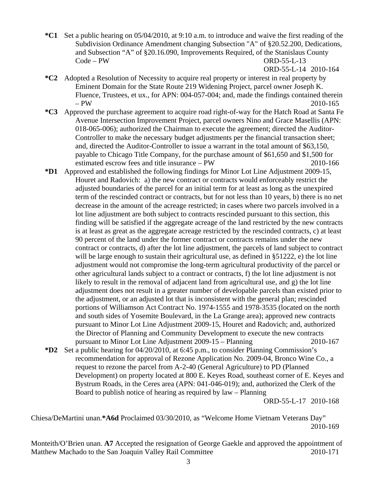**\*C1** Set a public hearing on 05/04/2010, at 9:10 a.m. to introduce and waive the first reading of the Subdivision Ordinance Amendment changing Subsection "A" of §20.52.200, Dedications, and Subsection "A" of §20.16.090, Improvements Required, of the Stanislaus County Code – PW ORD-55-L-13

ORD-55-L-14 2010-164

- **\*C2** Adopted a Resolution of Necessity to acquire real property or interest in real property by Eminent Domain for the State Route 219 Widening Project, parcel owner Joseph K. Fluence, Trustees, et ux., for APN: 004-057-004; and, made the findings contained therein  $- PW$  2010-165
- **\*C3** Approved the purchase agreement to acquire road right-of-way for the Hatch Road at Santa Fe Avenue Intersection Improvement Project, parcel owners Nino and Grace Masellis (APN: 018-065-006); authorized the Chairman to execute the agreement; directed the Auditor-Controller to make the necessary budget adjustments per the financial transaction sheet; and, directed the Auditor-Controller to issue a warrant in the total amount of \$63,150, payable to Chicago Title Company, for the purchase amount of \$61,650 and \$1,500 for estimated escrow fees and title insurance – PW 2010-166
- **\*D1** Approved and established the following findings for Minor Lot Line Adjustment 2009-15, Houret and Radovich: a) the new contract or contracts would enforceably restrict the adjusted boundaries of the parcel for an initial term for at least as long as the unexpired term of the rescinded contract or contracts, but for not less than 10 years, b) there is no net decrease in the amount of the acreage restricted; in cases where two parcels involved in a lot line adjustment are both subject to contracts rescinded pursuant to this section, this finding will be satisfied if the aggregate acreage of the land restricted by the new contracts is at least as great as the aggregate acreage restricted by the rescinded contracts, c) at least 90 percent of the land under the former contract or contracts remains under the new contract or contracts, d) after the lot line adjustment, the parcels of land subject to contract will be large enough to sustain their agricultural use, as defined in  $\S51222$ , e) the lot line adjustment would not compromise the long-term agricultural productivity of the parcel or other agricultural lands subject to a contract or contracts, f) the lot line adjustment is not likely to result in the removal of adjacent land from agricultural use, and g) the lot line adjustment does not result in a greater number of developable parcels than existed prior to the adjustment, or an adjusted lot that is inconsistent with the general plan; rescinded portions of Williamson Act Contract No. 1974-1555 and 1978-3535 (located on the north and south sides of Yosemite Boulevard, in the La Grange area); approved new contracts pursuant to Minor Lot Line Adjustment 2009-15, Houret and Radovich; and, authorized the Director of Planning and Community Development to execute the new contracts pursuant to Minor Lot Line Adjustment 2009-15 – Planning 2010-167
- **\*D2** Set a public hearing for 04/20/2010, at 6:45 p.m., to consider Planning Commission's recommendation for approval of Rezone Application No. 2009-04, Bronco Wine Co., a request to rezone the parcel from A-2-40 (General Agriculture) to PD (Planned Development) on property located at 800 E. Keyes Road, southeast corner of E. Keyes and Bystrum Roads, in the Ceres area (APN: 041-046-019); and, authorized the Clerk of the Board to publish notice of hearing as required by law – Planning

ORD-55-L-17 2010-168

Chiesa/DeMartini unan.**\*A6d** Proclaimed 03/30/2010, as "Welcome Home Vietnam Veterans Day" 2010-169

Monteith/O'Brien unan. **A7** Accepted the resignation of George Gaekle and approved the appointment of Matthew Machado to the San Joaquin Valley Rail Committee 2010-171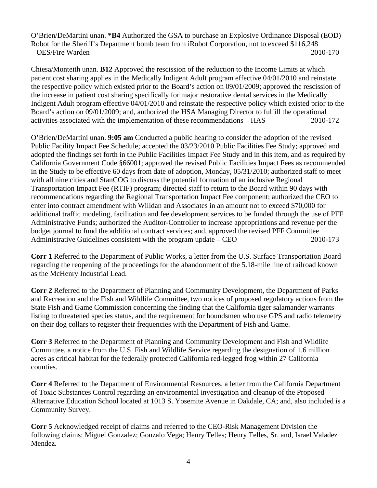O'Brien/DeMartini unan. **\*B4** Authorized the GSA to purchase an Explosive Ordinance Disposal (EOD) Robot for the Sheriff's Department bomb team from iRobot Corporation, not to exceed \$116,248 – OES/Fire Warden 2010-170

Chiesa/Monteith unan. **B12** Approved the rescission of the reduction to the Income Limits at which patient cost sharing applies in the Medically Indigent Adult program effective 04/01/2010 and reinstate the respective policy which existed prior to the Board's action on 09/01/2009; approved the rescission of the increase in patient cost sharing specifically for major restorative dental services in the Medically Indigent Adult program effective 04/01/2010 and reinstate the respective policy which existed prior to the Board's action on 09/01/2009; and, authorized the HSA Managing Director to fulfill the operational activities associated with the implementation of these recommendations – HAS 2010-172

O'Brien/DeMartini unan. **9:05 am** Conducted a public hearing to consider the adoption of the revised Public Facility Impact Fee Schedule; accepted the 03/23/2010 Public Facilities Fee Study; approved and adopted the findings set forth in the Public Facilities Impact Fee Study and in this item, and as required by California Government Code §66001; approved the revised Public Facilities Impact Fees as recommended in the Study to be effective 60 days from date of adoption, Monday, 05/31/2010; authorized staff to meet with all nine cities and StanCOG to discuss the potential formation of an inclusive Regional Transportation Impact Fee (RTIF) program; directed staff to return to the Board within 90 days with recommendations regarding the Regional Transportation Impact Fee component; authorized the CEO to enter into contract amendment with Willdan and Associates in an amount not to exceed \$70,000 for additional traffic modeling, facilitation and fee development services to be funded through the use of PFF Administrative Funds; authorized the Auditor-Controller to increase appropriations and revenue per the budget journal to fund the additional contract services; and, approved the revised PFF Committee Administrative Guidelines consistent with the program update – CEO 2010-173

**Corr 1** Referred to the Department of Public Works, a letter from the U.S. Surface Transportation Board regarding the reopening of the proceedings for the abandonment of the 5.18-mile line of railroad known as the McHenry Industrial Lead.

**Corr 2** Referred to the Department of Planning and Community Development, the Department of Parks and Recreation and the Fish and Wildlife Committee, two notices of proposed regulatory actions from the State Fish and Game Commission concerning the finding that the California tiger salamander warrants listing to threatened species status, and the requirement for houndsmen who use GPS and radio telemetry on their dog collars to register their frequencies with the Department of Fish and Game.

**Corr 3** Referred to the Department of Planning and Community Development and Fish and Wildlife Committee, a notice from the U.S. Fish and Wildlife Service regarding the designation of 1.6 million acres as critical habitat for the federally protected California red-legged frog within 27 California counties.

**Corr 4** Referred to the Department of Environmental Resources, a letter from the California Department of Toxic Substances Control regarding an environmental investigation and cleanup of the Proposed Alternative Education School located at 1013 S. Yosemite Avenue in Oakdale, CA; and, also included is a Community Survey.

**Corr 5** Acknowledged receipt of claims and referred to the CEO-Risk Management Division the following claims: Miguel Gonzalez; Gonzalo Vega; Henry Telles; Henry Telles, Sr. and, Israel Valadez Mendez.